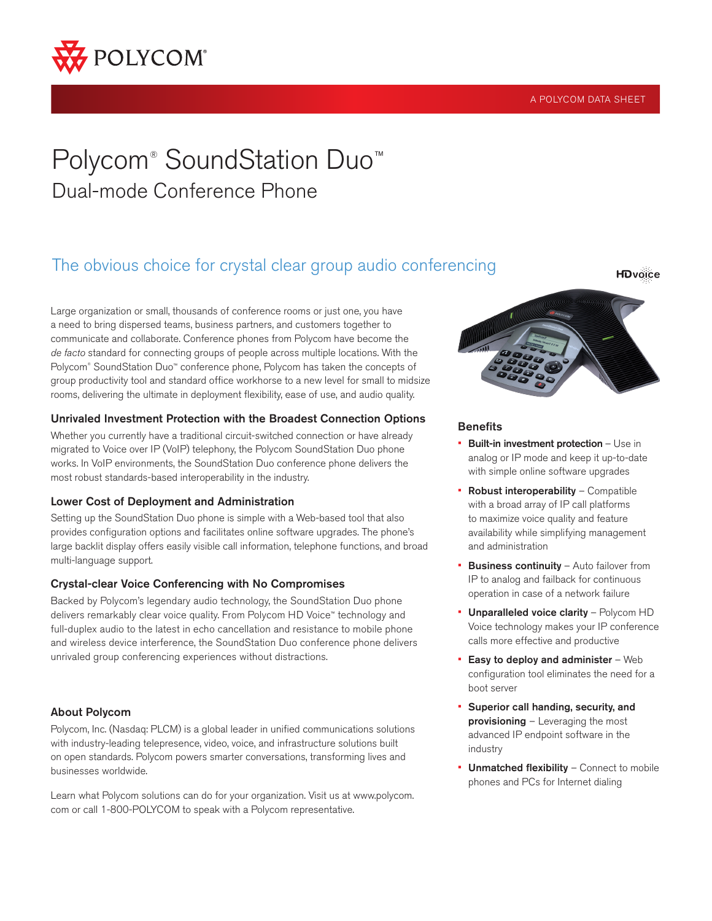

#### A POLYCOM DATA SHEET

# Polycom<sup>®</sup> SoundStation Duo<sup>™</sup> Dual-mode Conference Phone

### The obvious choice for crystal clear group audio conferencing

Large organization or small, thousands of conference rooms or just one, you have a need to bring dispersed teams, business partners, and customers together to communicate and collaborate. Conference phones from Polycom have become the *de facto* standard for connecting groups of people across multiple locations. With the Polycom® SoundStation Duo™ conference phone, Polycom has taken the concepts of group productivity tool and standard office workhorse to a new level for small to midsize rooms, delivering the ultimate in deployment flexibility, ease of use, and audio quality.

#### Unrivaled Investment Protection with the Broadest Connection Options

Whether you currently have a traditional circuit-switched connection or have already migrated to Voice over IP (VoIP) telephony, the Polycom SoundStation Duo phone works. In VoIP environments, the SoundStation Duo conference phone delivers the most robust standards-based interoperability in the industry.

#### Lower Cost of Deployment and Administration

Setting up the SoundStation Duo phone is simple with a Web-based tool that also provides configuration options and facilitates online software upgrades. The phone's large backlit display offers easily visible call information, telephone functions, and broad multi-language support.

#### Crystal-clear Voice Conferencing with No Compromises

Backed by Polycom's legendary audio technology, the SoundStation Duo phone delivers remarkably clear voice quality. From Polycom HD Voice™ technology and full-duplex audio to the latest in echo cancellation and resistance to mobile phone and wireless device interference, the SoundStation Duo conference phone delivers unrivaled group conferencing experiences without distractions.

#### About Polycom

Polycom, Inc. (Nasdaq: PLCM) is a global leader in unified communications solutions with industry-leading telepresence, video, voice, and infrastructure solutions built on open standards. Polycom powers smarter conversations, transforming lives and businesses worldwide.

Learn what Polycom solutions can do for your organization. Visit us at www.polycom. com or call 1-800-POLYCOM to speak with a Polycom representative.



#### **Benefits**

- Built-in investment protection Use in analog or IP mode and keep it up-to-date with simple online software upgrades
- **Robust interoperability Compatible** with a broad array of IP call platforms to maximize voice quality and feature availability while simplifying management and administration
- **Business continuity** Auto failover from IP to analog and failback for continuous operation in case of a network failure
- Unparalleled voice clarity Polycom HD Voice technology makes your IP conference calls more effective and productive
- $\blacksquare$  Easy to deploy and administer Web configuration tool eliminates the need for a boot server
- • Superior call handing, security, and provisioning - Leveraging the most advanced IP endpoint software in the industry
- Unmatched flexibility Connect to mobile phones and PCs for Internet dialing

**HDvoice**